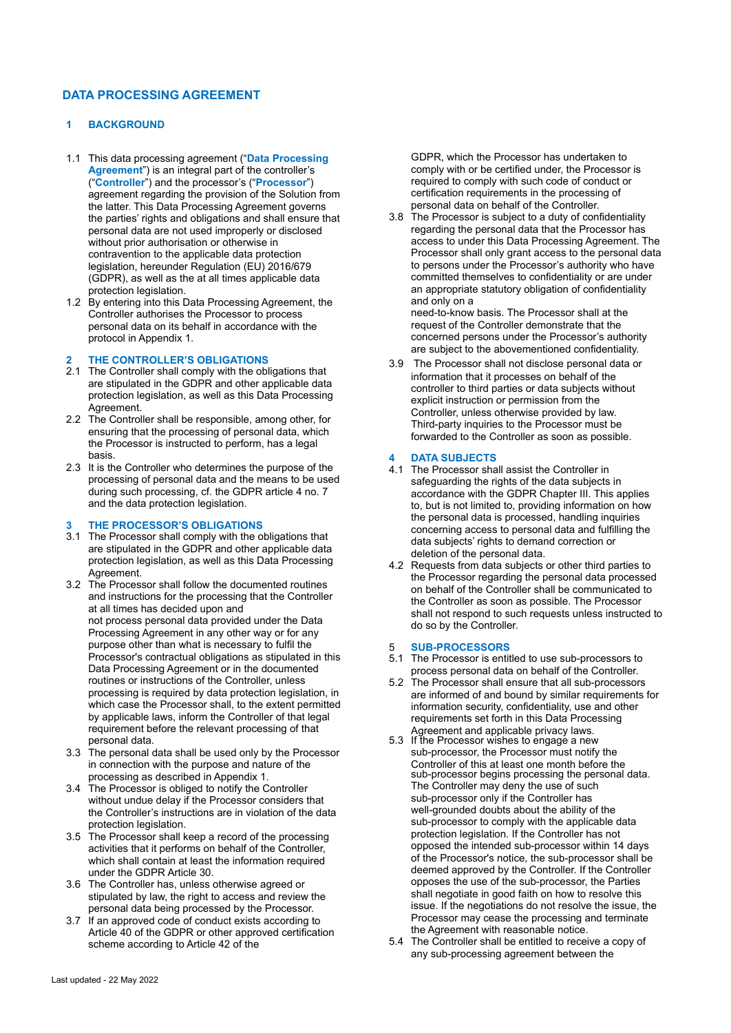# **DATA PROCESSING AGREEMENT**

# **1 BACKGROUND**

- 1.1 This data processing agreement ("**Data Processing Agreement**") is an integral part of the controller's ("**Controller**") and the processor's ("**Processor**") agreement regarding the provision of the Solution from the latter. This Data Processing Agreement governs the parties' rights and obligations and shall ensure that personal data are not used improperly or disclosed without prior authorisation or otherwise in contravention to the applicable data protection legislation, hereunder Regulation (EU) 2016/679 (GDPR), as well as the at all times applicable data protection legislation.
- 1.2 By entering into this Data Processing Agreement, the Controller authorises the Processor to process personal data on its behalf in accordance with the protocol in Appendix 1.

# **2 THE CONTROLLER'S OBLIGATIONS**

- 2.1 The Controller shall comply with the obligations that are stipulated in the GDPR and other applicable data protection legislation, as well as this Data Processing Agreement.
- 2.2 The Controller shall be responsible, among other, for ensuring that the processing of personal data, which the Processor is instructed to perform, has a legal basis.
- 2.3 It is the Controller who determines the purpose of the processing of personal data and the means to be used during such processing, cf. the GDPR article 4 no. 7 and the data protection legislation.

### **3 THE PROCESSOR'S OBLIGATIONS**

- 3.1 The Processor shall comply with the obligations that are stipulated in the GDPR and other applicable data protection legislation, as well as this Data Processing Agreement.
- 3.2 The Processor shall follow the documented routines and instructions for the processing that the Controller at all times has decided upon and not process personal data provided under the Data Processing Agreement in any other way or for any purpose other than what is necessary to fulfil the Processor's contractual obligations as stipulated in this Data Processing Agreement or in the documented routines or instructions of the Controller, unless processing is required by data protection legislation, in which case the Processor shall, to the extent permitted by applicable laws, inform the Controller of that legal requirement before the relevant processing of that personal data.
- 3.3 The personal data shall be used only by the Processor in connection with the purpose and nature of the processing as described in Appendix 1.
- 3.4 The Processor is obliged to notify the Controller without undue delay if the Processor considers that the Controller's instructions are in violation of the data protection legislation.
- 3.5 The Processor shall keep a record of the processing activities that it performs on behalf of the Controller, which shall contain at least the information required under the GDPR Article 30.
- 3.6 The Controller has, unless otherwise agreed or stipulated by law, the right to access and review the personal data being processed by the Processor.
- 3.7 If an approved code of conduct exists according to Article 40 of the GDPR or other approved certification scheme according to Article 42 of the

GDPR, which the Processor has undertaken to comply with or be certified under, the Processor is required to comply with such code of conduct or certification requirements in the processing of personal data on behalf of the Controller.

3.8 The Processor is subject to a duty of confidentiality regarding the personal data that the Processor has access to under this Data Processing Agreement. The Processor shall only grant access to the personal data to persons under the Processor's authority who have committed themselves to confidentiality or are under an appropriate statutory obligation of confidentiality and only on a

need-to-know basis. The Processor shall at the request of the Controller demonstrate that the concerned persons under the Processor's authority are subject to the abovementioned confidentiality.

3.9 The Processor shall not disclose personal data or information that it processes on behalf of the controller to third parties or data subjects without explicit instruction or permission from the Controller, unless otherwise provided by law. Third-party inquiries to the Processor must be forwarded to the Controller as soon as possible.

### **4 DATA SUBJECTS**

- 4.1 The Processor shall assist the Controller in safeguarding the rights of the data subjects in accordance with the GDPR Chapter III. This applies to, but is not limited to, providing information on how the personal data is processed, handling inquiries concerning access to personal data and fulfilling the data subjects' rights to demand correction or deletion of the personal data.
- 4.2 Requests from data subjects or other third parties to the Processor regarding the personal data processed on behalf of the Controller shall be communicated to the Controller as soon as possible. The Processor shall not respond to such requests unless instructed to do so by the Controller.

#### 5 **SUB-PROCESSORS**

5.1 The Processor is entitled to use sub-processors to process personal data on behalf of the Controller.

- 5.2 The Processor shall ensure that all sub-processors are informed of and bound by similar requirements for information security, confidentiality, use and other requirements set forth in this Data Processing Agreement and applicable privacy laws.
- 5.3 If the Processor wishes to engage a new sub-processor, the Processor must notify the Controller of this at least one month before the sub-processor begins processing the personal data. The Controller may deny the use of such sub-processor only if the Controller has well-grounded doubts about the ability of the sub-processor to comply with the applicable data protection legislation. If the Controller has not opposed the intended sub-processor within 14 days of the Processor's notice, the sub-processor shall be deemed approved by the Controller. If the Controller opposes the use of the sub-processor, the Parties shall negotiate in good faith on how to resolve this issue. If the negotiations do not resolve the issue, the Processor may cease the processing and terminate the Agreement with reasonable notice.
- 5.4 The Controller shall be entitled to receive a copy of any sub-processing agreement between the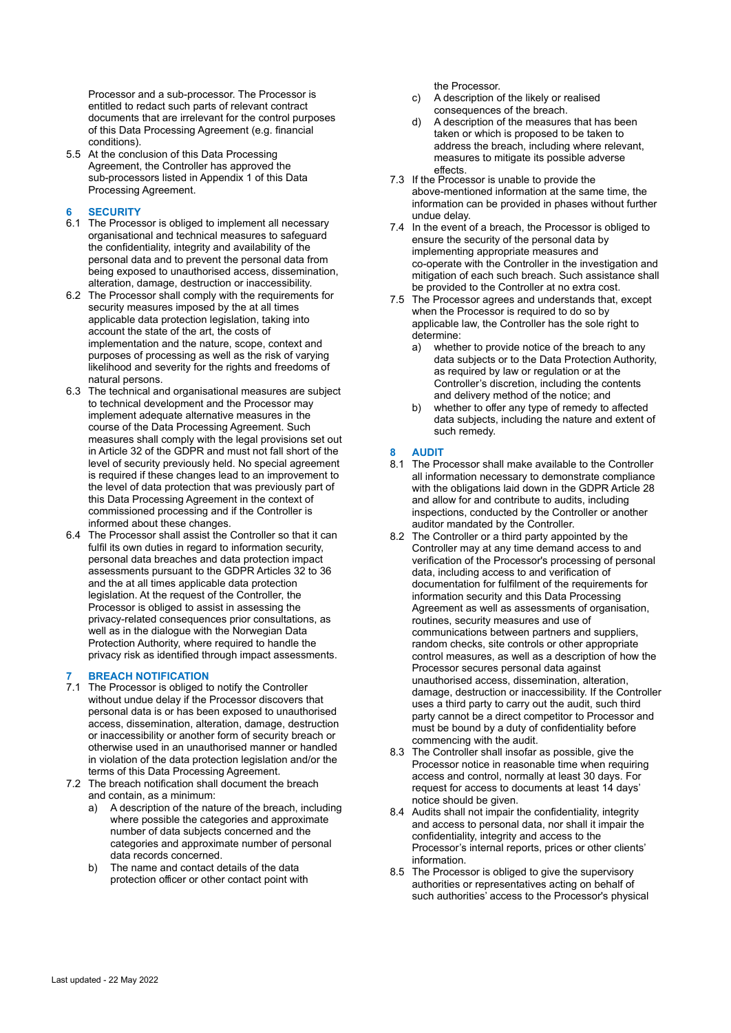Processor and a sub-processor. The Processor is entitled to redact such parts of relevant contract documents that are irrelevant for the control purposes of this Data Processing Agreement (e.g. financial conditions).

5.5 At the conclusion of this Data Processing Agreement, the Controller has approved the sub-processors listed in Appendix 1 of this Data Processing Agreement.

## **6 SECURITY**

- 6.1 The Processor is obliged to implement all necessary organisational and technical measures to safeguard the confidentiality, integrity and availability of the personal data and to prevent the personal data from being exposed to unauthorised access, dissemination, alteration, damage, destruction or inaccessibility.
- 6.2 The Processor shall comply with the requirements for security measures imposed by the at all times applicable data protection legislation, taking into account the state of the art, the costs of implementation and the nature, scope, context and purposes of processing as well as the risk of varying likelihood and severity for the rights and freedoms of natural persons.
- 6.3 The technical and organisational measures are subject to technical development and the Processor may implement adequate alternative measures in the course of the Data Processing Agreement. Such measures shall comply with the legal provisions set out in Article 32 of the GDPR and must not fall short of the level of security previously held. No special agreement is required if these changes lead to an improvement to the level of data protection that was previously part of this Data Processing Agreement in the context of commissioned processing and if the Controller is informed about these changes.
- 6.4 The Processor shall assist the Controller so that it can fulfil its own duties in regard to information security, personal data breaches and data protection impact assessments pursuant to the GDPR Articles 32 to 36 and the at all times applicable data protection legislation. At the request of the Controller, the Processor is obliged to assist in assessing the privacy-related consequences prior consultations, as well as in the dialogue with the Norwegian Data Protection Authority, where required to handle the privacy risk as identified through impact assessments.

## **7 BREACH NOTIFICATION**

- 7.1 The Processor is obliged to notify the Controller without undue delay if the Processor discovers that personal data is or has been exposed to unauthorised access, dissemination, alteration, damage, destruction or inaccessibility or another form of security breach or otherwise used in an unauthorised manner or handled in violation of the data protection legislation and/or the terms of this Data Processing Agreement.
- 7.2 The breach notification shall document the breach and contain, as a minimum:
	- a) A description of the nature of the breach, including where possible the categories and approximate number of data subjects concerned and the categories and approximate number of personal data records concerned.
	- b) The name and contact details of the data protection officer or other contact point with

the Processor.

- c) A description of the likely or realised consequences of the breach.
- d) A description of the measures that has been taken or which is proposed to be taken to address the breach, including where relevant, measures to mitigate its possible adverse effects.
- 7.3 If the Processor is unable to provide the above-mentioned information at the same time, the information can be provided in phases without further undue delay.
- 7.4 In the event of a breach, the Processor is obliged to ensure the security of the personal data by implementing appropriate measures and co-operate with the Controller in the investigation and mitigation of each such breach. Such assistance shall be provided to the Controller at no extra cost.
- 7.5 The Processor agrees and understands that, except when the Processor is required to do so by applicable law, the Controller has the sole right to determine:
	- a) whether to provide notice of the breach to any data subjects or to the Data Protection Authority, as required by law or regulation or at the Controller's discretion, including the contents and delivery method of the notice; and
	- b) whether to offer any type of remedy to affected data subjects, including the nature and extent of such remedy.

### **8 AUDIT**

- 8.1 The Processor shall make available to the Controller all information necessary to demonstrate compliance with the obligations laid down in the GDPR Article 28 and allow for and contribute to audits, including inspections, conducted by the Controller or another auditor mandated by the Controller.
- 8.2 The Controller or a third party appointed by the Controller may at any time demand access to and verification of the Processor's processing of personal data, including access to and verification of documentation for fulfilment of the requirements for information security and this Data Processing Agreement as well as assessments of organisation, routines, security measures and use of communications between partners and suppliers, random checks, site controls or other appropriate control measures, as well as a description of how the Processor secures personal data against unauthorised access, dissemination, alteration, damage, destruction or inaccessibility. If the Controller uses a third party to carry out the audit, such third party cannot be a direct competitor to Processor and must be bound by a duty of confidentiality before commencing with the audit.
- 8.3 The Controller shall insofar as possible, give the Processor notice in reasonable time when requiring access and control, normally at least 30 days. For request for access to documents at least 14 days' notice should be given.
- 8.4 Audits shall not impair the confidentiality, integrity and access to personal data, nor shall it impair the confidentiality, integrity and access to the Processor's internal reports, prices or other clients' information.
- 8.5 The Processor is obliged to give the supervisory authorities or representatives acting on behalf of such authorities' access to the Processor's physical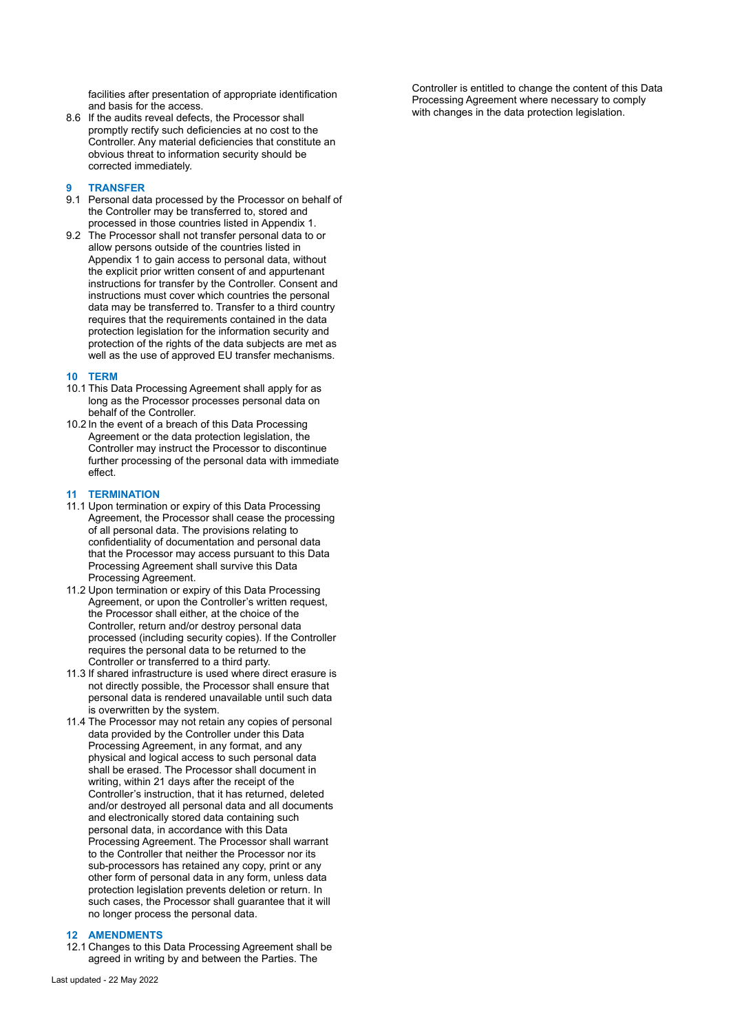facilities after presentation of appropriate identification and basis for the access.

8.6 If the audits reveal defects, the Processor shall promptly rectify such deficiencies at no cost to the Controller. Any material deficiencies that constitute an obvious threat to information security should be corrected immediately.

### **9 TRANSFER**

- 9.1 Personal data processed by the Processor on behalf of the Controller may be transferred to, stored and processed in those countries listed in Appendix 1.
- 9.2 The Processor shall not transfer personal data to or allow persons outside of the countries listed in Appendix 1 to gain access to personal data, without the explicit prior written consent of and appurtenant instructions for transfer by the Controller. Consent and instructions must cover which countries the personal data may be transferred to. Transfer to a third country requires that the requirements contained in the data protection legislation for the information security and protection of the rights of the data subjects are met as well as the use of approved EU transfer mechanisms.

#### **10 TERM**

- 10.1 This Data Processing Agreement shall apply for as long as the Processor processes personal data on behalf of the Controller.
- 10.2 In the event of a breach of this Data Processing Agreement or the data protection legislation, the Controller may instruct the Processor to discontinue further processing of the personal data with immediate effect.

### **11 TERMINATION**

- 11.1 Upon termination or expiry of this Data Processing Agreement, the Processor shall cease the processing of all personal data. The provisions relating to confidentiality of documentation and personal data that the Processor may access pursuant to this Data Processing Agreement shall survive this Data Processing Agreement.
- 11.2 Upon termination or expiry of this Data Processing Agreement, or upon the Controller's written request. the Processor shall either, at the choice of the Controller, return and/or destroy personal data processed (including security copies). If the Controller requires the personal data to be returned to the Controller or transferred to a third party.
- 11.3 If shared infrastructure is used where direct erasure is not directly possible, the Processor shall ensure that personal data is rendered unavailable until such data is overwritten by the system.
- 11.4 The Processor may not retain any copies of personal data provided by the Controller under this Data Processing Agreement, in any format, and any physical and logical access to such personal data shall be erased. The Processor shall document in writing, within 21 days after the receipt of the Controller's instruction, that it has returned, deleted and/or destroyed all personal data and all documents and electronically stored data containing such personal data, in accordance with this Data Processing Agreement. The Processor shall warrant to the Controller that neither the Processor nor its sub-processors has retained any copy, print or any other form of personal data in any form, unless data protection legislation prevents deletion or return. In such cases, the Processor shall guarantee that it will no longer process the personal data.

## **12 AMENDMENTS**

12.1 Changes to this Data Processing Agreement shall be agreed in writing by and between the Parties. The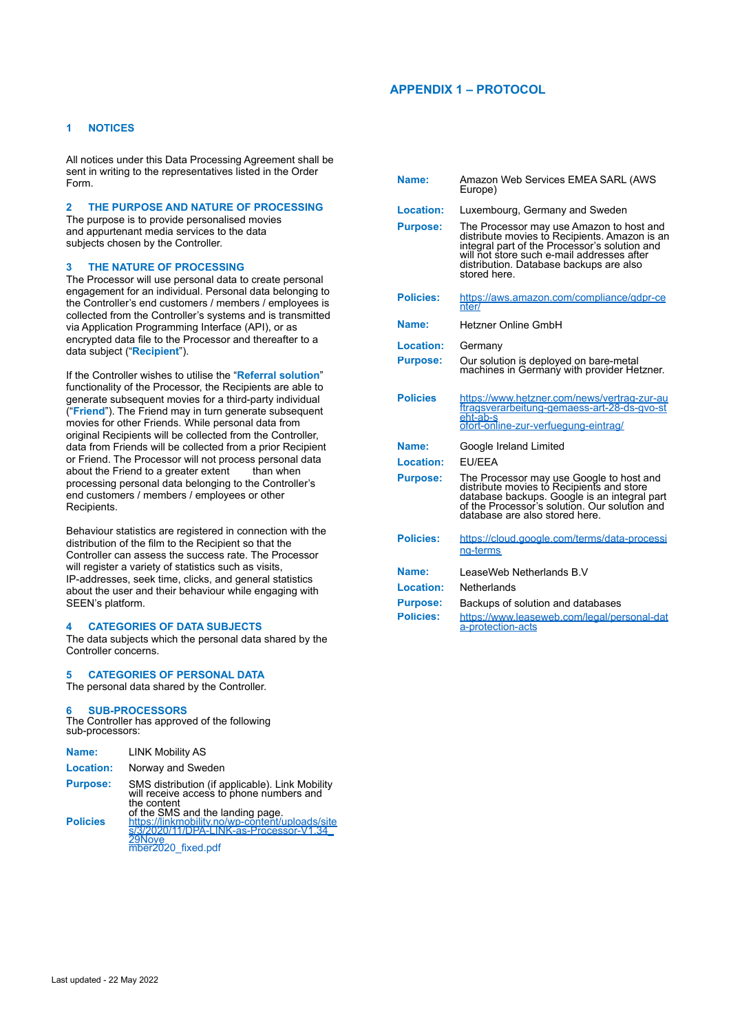# **APPENDIX 1 – PROTOCOL**

# **1 NOTICES**

All notices under this Data Processing Agreement shall be sent in writing to the representatives listed in the Order Form.

# **2 THE PURPOSE AND NATURE OF PROCESSING**

The purpose is to provide personalised movies and appurtenant media services to the data subjects chosen by the Controller.

### **3 THE NATURE OF PROCESSING**

The Processor will use personal data to create personal engagement for an individual. Personal data belonging to the Controller's end customers / members / employees is collected from the Controller's systems and is transmitted via Application Programming Interface (API), or as encrypted data file to the Processor and thereafter to a data subject ("**Recipient**").

If the Controller wishes to utilise the "**Referral solution**" functionality of the Processor, the Recipients are able to generate subsequent movies for a third-party individual ("**Friend**"). The Friend may in turn generate subsequent movies for other Friends. While personal data from original Recipients will be collected from the Controller, data from Friends will be collected from a prior Recipient or Friend. The Processor will not process personal data about the Friend to a greater extent than when processing personal data belonging to the Controller's end customers / members / employees or other Recipients.

Behaviour statistics are registered in connection with the distribution of the film to the Recipient so that the Controller can assess the success rate. The Processor will register a variety of statistics such as visits, IP-addresses, seek time, clicks, and general statistics about the user and their behaviour while engaging with SEEN's platform.

### **4 CATEGORIES OF DATA SUBJECTS**

The data subjects which the personal data shared by the Controller concerns.

### **5 CATEGORIES OF PERSONAL DATA**

The personal data shared by the Controller.

### **6 SUB-PROCESSORS**

The Controller has approved of the following sub-processors:

| Name:           | <b>LINK Mobility AS</b>                                                                                                                        |
|-----------------|------------------------------------------------------------------------------------------------------------------------------------------------|
| Location:       | Norway and Sweden                                                                                                                              |
| <b>Purpose:</b> | SMS distribution (if applicable). Link Mobility<br>will receive access to phone numbers and<br>the content<br>of the SMS and the landing page. |
| <b>Policies</b> | https://linkmobility.no/wp-content/uploads/site<br>s/3/2020/11/DPA-LINK-as-Processor-V1.34<br>29Nove<br>mber2020 fixed.pdf                     |

| Name:            | Amazon Web Services EMEA SARL (AWS<br>Europe)                                                                                                                                                                                                       |
|------------------|-----------------------------------------------------------------------------------------------------------------------------------------------------------------------------------------------------------------------------------------------------|
| Location:        | Luxembourg, Germany and Sweden                                                                                                                                                                                                                      |
| <b>Purpose:</b>  | The Processor may use Amazon to host and<br>distribute movies to Recipients. Amazon is an<br>integral part of the Processor's solution and<br>will not store such e-mail addresses after<br>distribution. Database backups are also<br>stored here. |
| <b>Policies:</b> | https://aws.amazon.com/compliance/gdpr-ce<br>nter/                                                                                                                                                                                                  |
| Name:            | <b>Hetzner Online GmbH</b>                                                                                                                                                                                                                          |
| <b>Location:</b> | Germany                                                                                                                                                                                                                                             |
| <b>Purpose:</b>  | Our solution is deployed on bare-metal<br>machines in Germany with provider Hetzner.                                                                                                                                                                |
| <b>Policies</b>  | https://www.hetzner.com/news/vertrag-zur-au<br>ftragsverarbeitung-gemaess-art-28-ds-gvo-st<br>eht-ab-s<br>ofort-online-zur-verfuegung-eintrag/                                                                                                      |
| Name:            | Google Ireland Limited                                                                                                                                                                                                                              |
| Location:        | <b>FU/FFA</b>                                                                                                                                                                                                                                       |
| <b>Purpose:</b>  | The Processor may use Google to host and<br>distribute movies to Recipients and store<br>database backups. Google is an integral part<br>of the Processor's solution. Our solution and<br>database are also stored here.                            |
| <b>Policies:</b> | https://cloud.google.com/terms/data-processi<br>na-terms                                                                                                                                                                                            |
| Name:            | LeaseWeb Netherlands B.V                                                                                                                                                                                                                            |
| Location:        | Netherlands                                                                                                                                                                                                                                         |
| <b>Purpose:</b>  | Backups of solution and databases                                                                                                                                                                                                                   |
| <b>Policies:</b> | https://www.leaseweb.com/legal/personal-dat<br>a-protection-acts                                                                                                                                                                                    |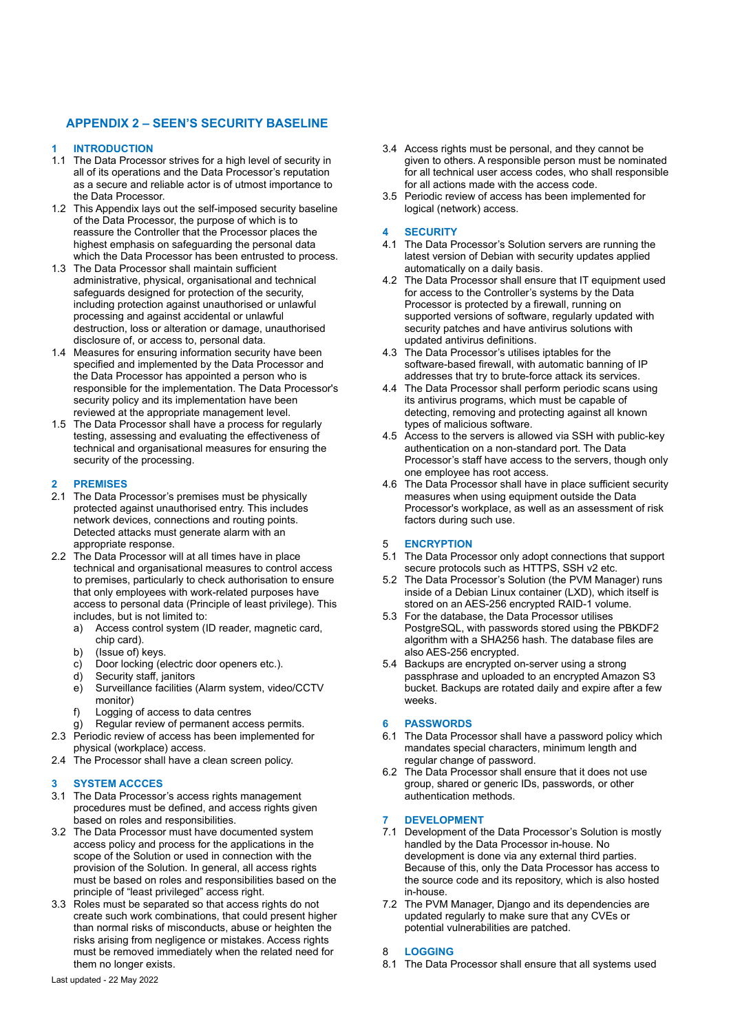# **APPENDIX 2 – SEEN'S SECURITY BASELINE**

## **1 INTRODUCTION**

- 1.1 The Data Processor strives for a high level of security in all of its operations and the Data Processor's reputation as a secure and reliable actor is of utmost importance to the Data Processor.
- 1.2 This Appendix lays out the self-imposed security baseline of the Data Processor, the purpose of which is to reassure the Controller that the Processor places the highest emphasis on safeguarding the personal data which the Data Processor has been entrusted to process.
- 1.3 The Data Processor shall maintain sufficient administrative, physical, organisational and technical safeguards designed for protection of the security, including protection against unauthorised or unlawful processing and against accidental or unlawful destruction, loss or alteration or damage, unauthorised disclosure of, or access to, personal data.
- 1.4 Measures for ensuring information security have been specified and implemented by the Data Processor and the Data Processor has appointed a person who is responsible for the implementation. The Data Processor's security policy and its implementation have been reviewed at the appropriate management level.
- 1.5 The Data Processor shall have a process for regularly testing, assessing and evaluating the effectiveness of technical and organisational measures for ensuring the security of the processing.

## **2 PREMISES**

- 2.1 The Data Processor's premises must be physically protected against unauthorised entry. This includes network devices, connections and routing points. Detected attacks must generate alarm with an appropriate response.
- 2.2 The Data Processor will at all times have in place technical and organisational measures to control access to premises, particularly to check authorisation to ensure that only employees with work-related purposes have access to personal data (Principle of least privilege). This includes, but is not limited to:
	- a) Access control system (ID reader, magnetic card, chip card).
	- b) (Issue of) keys.
	- c) Door locking (electric door openers etc.).
	- d) Security staff, janitors
	- e) Surveillance facilities (Alarm system, video/CCTV monitor)
	-
	- f) Logging of access to data centres<br>g) Regular review of permanent access permits. g) Regular review of permanent access permits.
- 2.3 Periodic review of access has been implemented for physical (workplace) access.
- 2.4 The Processor shall have a clean screen policy.

# **3 SYSTEM ACCCES**

- 3.1 The Data Processor's access rights management procedures must be defined, and access rights given based on roles and responsibilities.
- 3.2 The Data Processor must have documented system access policy and process for the applications in the scope of the Solution or used in connection with the provision of the Solution. In general, all access rights must be based on roles and responsibilities based on the principle of "least privileged" access right.
- 3.3 Roles must be separated so that access rights do not create such work combinations, that could present higher than normal risks of misconducts, abuse or heighten the risks arising from negligence or mistakes. Access rights must be removed immediately when the related need for them no longer exists.
- 3.4 Access rights must be personal, and they cannot be given to others. A responsible person must be nominated for all technical user access codes, who shall responsible for all actions made with the access code.
- 3.5 Periodic review of access has been implemented for logical (network) access.

## **4 SECURITY**

- 4.1 The Data Processor's Solution servers are running the latest version of Debian with security updates applied automatically on a daily basis.
- 4.2 The Data Processor shall ensure that IT equipment used for access to the Controller's systems by the Data Processor is protected by a firewall, running on supported versions of software, regularly updated with security patches and have antivirus solutions with updated antivirus definitions.
- 4.3 The Data Processor's utilises iptables for the software-based firewall, with automatic banning of IP addresses that try to brute-force attack its services.
- 4.4 The Data Processor shall perform periodic scans using its antivirus programs, which must be capable of detecting, removing and protecting against all known types of malicious software.
- 4.5 Access to the servers is allowed via SSH with public-key authentication on a non-standard port. The Data Processor's staff have access to the servers, though only one employee has root access.
- 4.6 The Data Processor shall have in place sufficient security measures when using equipment outside the Data Processor's workplace, as well as an assessment of risk factors during such use.

### 5 **ENCRYPTION**

- 5.1 The Data Processor only adopt connections that support secure protocols such as HTTPS, SSH v2 etc.
- 5.2 The Data Processor's Solution (the PVM Manager) runs inside of a Debian Linux container (LXD), which itself is stored on an AES-256 encrypted RAID-1 volume.
- 5.3 For the database, the Data Processor utilises PostgreSQL, with passwords stored using the PBKDF2 algorithm with a SHA256 hash. The database files are also AES-256 encrypted.
- 5.4 Backups are encrypted on-server using a strong passphrase and uploaded to an encrypted Amazon S3 bucket. Backups are rotated daily and expire after a few weeks.

## **6 PASSWORDS**

- 6.1 The Data Processor shall have a password policy which mandates special characters, minimum length and regular change of password.
- 6.2 The Data Processor shall ensure that it does not use group, shared or generic IDs, passwords, or other authentication methods.

#### **7 DEVELOPMENT**

- 7.1 Development of the Data Processor's Solution is mostly handled by the Data Processor in-house. No development is done via any external third parties. Because of this, only the Data Processor has access to the source code and its repository, which is also hosted in-house.
- 7.2 The PVM Manager, Django and its dependencies are updated regularly to make sure that any CVEs or potential vulnerabilities are patched.

### 8 **LOGGING**

8.1 The Data Processor shall ensure that all systems used